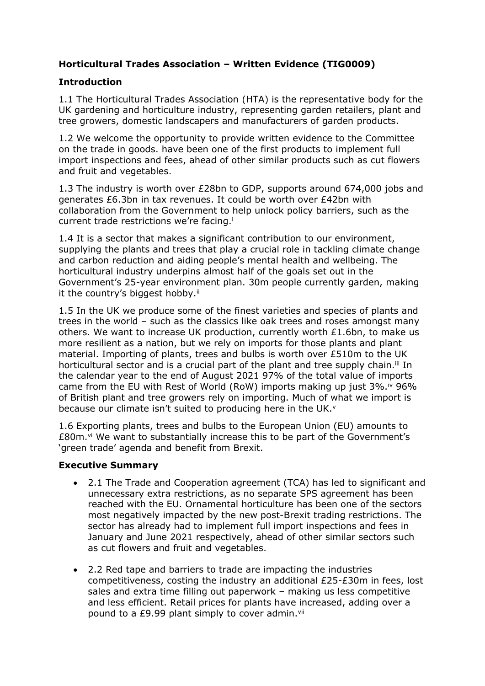# **Horticultural Trades Association – Written Evidence (TIG0009)**

# **Introduction**

1.1 The Horticultural Trades Association (HTA) is the representative body for the UK gardening and horticulture industry, representing garden retailers, plant and tree growers, domestic landscapers and manufacturers of garden products.

1.2 We welcome the opportunity to provide written evidence to the Committee on the trade in goods. have been one of the first products to implement full import inspections and fees, ahead of other similar products such as cut flowers and fruit and vegetables.

1.3 The industry is worth over £28bn to GDP, supports around 674,000 jobs and generates £6.3bn in tax revenues. It could be worth over £42bn with collaboration from the Government to help unlock policy barriers, such as the current trade restrictions we're facing.<sup>i</sup>

1.4 It is a sector that makes a significant contribution to our environment, supplying the plants and trees that play a crucial role in tackling climate change and carbon reduction and aiding people's mental health and wellbeing. The horticultural industry underpins almost half of the goals set out in the Government's 25-year environment plan. 30m people currently garden, making it the country's biggest hobby.<sup>ii</sup>

1.5 In the UK we produce some of the finest varieties and species of plants and trees in the world – such as the classics like oak trees and roses amongst many others. We want to increase UK production, currently worth £1.6bn, to make us more resilient as a nation, but we rely on imports for those plants and plant material. Importing of plants, trees and bulbs is worth over £510m to the UK horticultural sector and is a crucial part of the plant and tree supply chain.<sup>iii</sup> In the calendar year to the end of August 2021 97% of the total value of imports came from the EU with Rest of World (RoW) imports making up just  $3\%$ . iv 96% of British plant and tree growers rely on importing. Much of what we import is because our climate isn't suited to producing here in the UK.<sup>v</sup>

1.6 Exporting plants, trees and bulbs to the European Union (EU) amounts to £80m.vi We want to substantially increase this to be part of the Government's 'green trade' agenda and benefit from Brexit.

## **Executive Summary**

- 2.1 The Trade and Cooperation agreement (TCA) has led to significant and unnecessary extra restrictions, as no separate SPS agreement has been reached with the EU. Ornamental horticulture has been one of the sectors most negatively impacted by the new post-Brexit trading restrictions. The sector has already had to implement full import inspections and fees in January and June 2021 respectively, ahead of other similar sectors such as cut flowers and fruit and vegetables.
- 2.2 Red tape and barriers to trade are impacting the industries competitiveness, costing the industry an additional £25-£30m in fees, lost sales and extra time filling out paperwork – making us less competitive and less efficient. Retail prices for plants have increased, adding over a pound to a £9.99 plant simply to cover admin.<sup>vii</sup>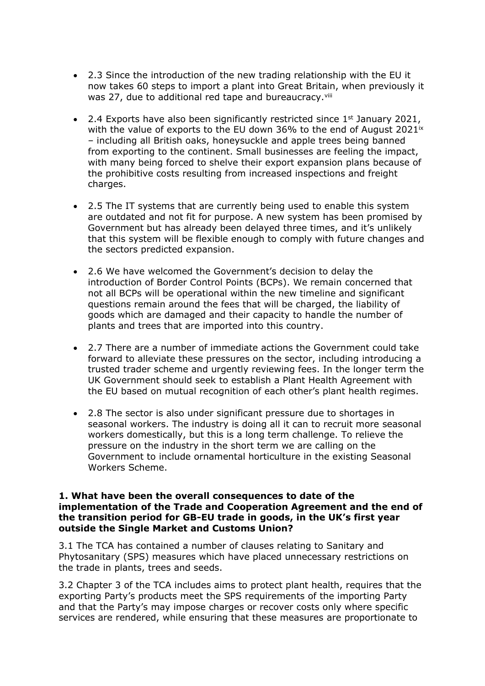- 2.3 Since the introduction of the new trading relationship with the EU it now takes 60 steps to import a plant into Great Britain, when previously it was 27, due to additional red tape and bureaucracy.<sup>viii</sup>
- 2.4 Exports have also been significantly restricted since  $1<sup>st</sup>$  January 2021, with the value of exports to the EU down 36% to the end of August 2021<sup>ix</sup> – including all British oaks, honeysuckle and apple trees being banned from exporting to the continent. Small businesses are feeling the impact, with many being forced to shelve their export expansion plans because of the prohibitive costs resulting from increased inspections and freight charges.
- 2.5 The IT systems that are currently being used to enable this system are outdated and not fit for purpose. A new system has been promised by Government but has already been delayed three times, and it's unlikely that this system will be flexible enough to comply with future changes and the sectors predicted expansion.
- 2.6 We have welcomed the Government's decision to delay the introduction of Border Control Points (BCPs). We remain concerned that not all BCPs will be operational within the new timeline and significant questions remain around the fees that will be charged, the liability of goods which are damaged and their capacity to handle the number of plants and trees that are imported into this country.
- 2.7 There are a number of immediate actions the Government could take forward to alleviate these pressures on the sector, including introducing a trusted trader scheme and urgently reviewing fees. In the longer term the UK Government should seek to establish a Plant Health Agreement with the EU based on mutual recognition of each other's plant health regimes.
- 2.8 The sector is also under significant pressure due to shortages in seasonal workers. The industry is doing all it can to recruit more seasonal workers domestically, but this is a long term challenge. To relieve the pressure on the industry in the short term we are calling on the Government to include ornamental horticulture in the existing Seasonal Workers Scheme.

#### **1. What have been the overall consequences to date of the implementation of the Trade and Cooperation Agreement and the end of the transition period for GB-EU trade in goods, in the UK's first year outside the Single Market and Customs Union?**

3.1 The TCA has contained a number of clauses relating to Sanitary and Phytosanitary (SPS) measures which have placed unnecessary restrictions on the trade in plants, trees and seeds.

3.2 Chapter 3 of the TCA includes aims to protect plant health, requires that the exporting Party's products meet the SPS requirements of the importing Party and that the Party's may impose charges or recover costs only where specific services are rendered, while ensuring that these measures are proportionate to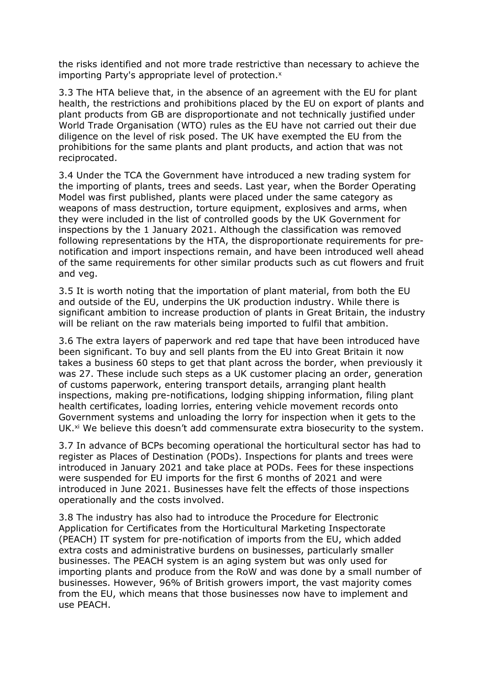the risks identified and not more trade restrictive than necessary to achieve the importing Party's appropriate level of protection.<sup>x</sup>

3.3 The HTA believe that, in the absence of an agreement with the EU for plant health, the restrictions and prohibitions placed by the EU on export of plants and plant products from GB are disproportionate and not technically justified under World Trade Organisation (WTO) rules as the EU have not carried out their due diligence on the level of risk posed. The UK have exempted the EU from the prohibitions for the same plants and plant products, and action that was not reciprocated.

3.4 Under the TCA the Government have introduced a new trading system for the importing of plants, trees and seeds. Last year, when the Border Operating Model was first published, plants were placed under the same category as weapons of mass destruction, torture equipment, explosives and arms, when they were included in the list of controlled goods by the UK Government for inspections by the 1 January 2021. Although the classification was removed following representations by the HTA, the disproportionate requirements for prenotification and import inspections remain, and have been introduced well ahead of the same requirements for other similar products such as cut flowers and fruit and veg.

3.5 It is worth noting that the importation of plant material, from both the EU and outside of the EU, underpins the UK production industry. While there is significant ambition to increase production of plants in Great Britain, the industry will be reliant on the raw materials being imported to fulfil that ambition.

3.6 The extra layers of paperwork and red tape that have been introduced have been significant. To buy and sell plants from the EU into Great Britain it now takes a business 60 steps to get that plant across the border, when previously it was 27. These include such steps as a UK customer placing an order, generation of customs paperwork, entering transport details, arranging plant health inspections, making pre-notifications, lodging shipping information, filing plant health certificates, loading lorries, entering vehicle movement records onto Government systems and unloading the lorry for inspection when it gets to the UK.<sup>xi</sup> We believe this doesn't add commensurate extra biosecurity to the system.

3.7 In advance of BCPs becoming operational the horticultural sector has had to register as Places of Destination (PODs). Inspections for plants and trees were introduced in January 2021 and take place at PODs. Fees for these inspections were suspended for EU imports for the first 6 months of 2021 and were introduced in June 2021. Businesses have felt the effects of those inspections operationally and the costs involved.

3.8 The industry has also had to introduce the Procedure for Electronic Application for Certificates from the Horticultural Marketing Inspectorate (PEACH) IT system for pre-notification of imports from the EU, which added extra costs and administrative burdens on businesses, particularly smaller businesses. The PEACH system is an aging system but was only used for importing plants and produce from the RoW and was done by a small number of businesses. However, 96% of British growers import, the vast majority comes from the EU, which means that those businesses now have to implement and use PEACH.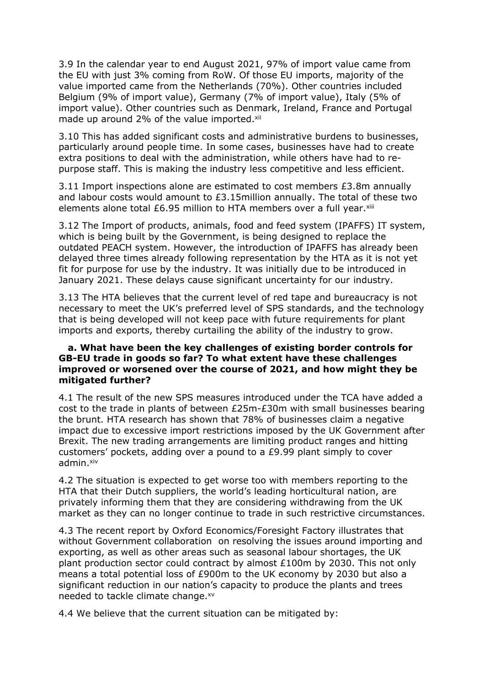3.9 In the calendar year to end August 2021, 97% of import value came from the EU with just 3% coming from RoW. Of those EU imports, majority of the value imported came from the Netherlands (70%). Other countries included Belgium (9% of import value), Germany (7% of import value), Italy (5% of import value). Other countries such as Denmark, Ireland, France and Portugal made up around 2% of the value imported.<sup>xii</sup>

3.10 This has added significant costs and administrative burdens to businesses, particularly around people time. In some cases, businesses have had to create extra positions to deal with the administration, while others have had to repurpose staff. This is making the industry less competitive and less efficient.

3.11 Import inspections alone are estimated to cost members £3.8m annually and labour costs would amount to  $£3.15$ million annually. The total of these two elements alone total £6.95 million to HTA members over a full year. $x^{iii}$ 

3.12 The Import of products, animals, food and feed system (IPAFFS) IT system, which is being built by the Government, is being designed to replace the outdated PEACH system. However, the introduction of IPAFFS has already been delayed three times already following representation by the HTA as it is not yet fit for purpose for use by the industry. It was initially due to be introduced in January 2021. These delays cause significant uncertainty for our industry.

3.13 The HTA believes that the current level of red tape and bureaucracy is not necessary to meet the UK's preferred level of SPS standards, and the technology that is being developed will not keep pace with future requirements for plant imports and exports, thereby curtailing the ability of the industry to grow.

### **a. What have been the key challenges of existing border controls for GB-EU trade in goods so far? To what extent have these challenges improved or worsened over the course of 2021, and how might they be mitigated further?**

4.1 The result of the new SPS measures introduced under the TCA have added a cost to the trade in plants of between £25m-£30m with small businesses bearing the brunt. HTA research has shown that 78% of businesses claim a negative impact due to excessive import restrictions imposed by the UK Government after Brexit. The new trading arrangements are limiting product ranges and hitting customers' pockets, adding over a pound to a £9.99 plant simply to cover admin.xiv

4.2 The situation is expected to get worse too with members reporting to the HTA that their Dutch suppliers, the world's leading horticultural nation, are privately informing them that they are considering withdrawing from the UK market as they can no longer continue to trade in such restrictive circumstances.

4.3 The recent report by Oxford Economics/Foresight Factory illustrates that without Government collaboration on resolving the issues around importing and exporting, as well as other areas such as seasonal labour shortages, the UK plant production sector could contract by almost £100m by 2030. This not only means a total potential loss of £900m to the UK economy by 2030 but also a significant reduction in our nation's capacity to produce the plants and trees needed to tackle climate change.xv

4.4 We believe that the current situation can be mitigated by: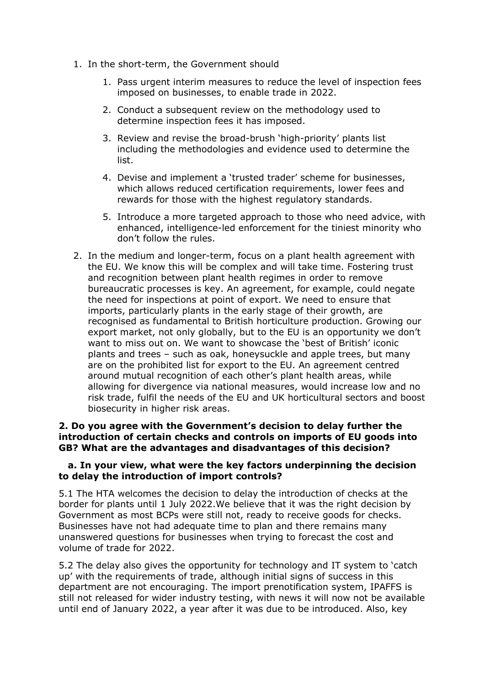- 1. In the short-term, the Government should
	- 1. Pass urgent interim measures to reduce the level of inspection fees imposed on businesses, to enable trade in 2022.
	- 2. Conduct a subsequent review on the methodology used to determine inspection fees it has imposed.
	- 3. Review and revise the broad-brush 'high-priority' plants list including the methodologies and evidence used to determine the list.
	- 4. Devise and implement a 'trusted trader' scheme for businesses, which allows reduced certification requirements, lower fees and rewards for those with the highest regulatory standards.
	- 5. Introduce a more targeted approach to those who need advice, with enhanced, intelligence-led enforcement for the tiniest minority who don't follow the rules.
- 2. In the medium and longer-term, focus on a plant health agreement with the EU. We know this will be complex and will take time. Fostering trust and recognition between plant health regimes in order to remove bureaucratic processes is key. An agreement, for example, could negate the need for inspections at point of export. We need to ensure that imports, particularly plants in the early stage of their growth, are recognised as fundamental to British horticulture production. Growing our export market, not only globally, but to the EU is an opportunity we don't want to miss out on. We want to showcase the 'best of British' iconic plants and trees – such as oak, honeysuckle and apple trees, but many are on the prohibited list for export to the EU. An agreement centred around mutual recognition of each other's plant health areas, while allowing for divergence via national measures, would increase low and no risk trade, fulfil the needs of the EU and UK horticultural sectors and boost biosecurity in higher risk areas.

#### **2. Do you agree with the Government's decision to delay further the introduction of certain checks and controls on imports of EU goods into GB? What are the advantages and disadvantages of this decision?**

### **a. In your view, what were the key factors underpinning the decision to delay the introduction of import controls?**

5.1 The HTA welcomes the decision to delay the introduction of checks at the border for plants until 1 July 2022.We believe that it was the right decision by Government as most BCPs were still not, ready to receive goods for checks. Businesses have not had adequate time to plan and there remains many unanswered questions for businesses when trying to forecast the cost and volume of trade for 2022.

5.2 The delay also gives the opportunity for technology and IT system to 'catch up' with the requirements of trade, although initial signs of success in this department are not encouraging. The import prenotification system, IPAFFS is still not released for wider industry testing, with news it will now not be available until end of January 2022, a year after it was due to be introduced. Also, key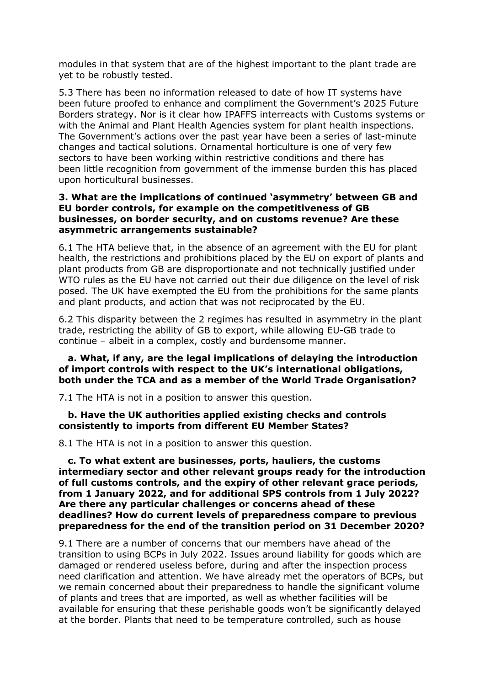modules in that system that are of the highest important to the plant trade are yet to be robustly tested.

5.3 There has been no information released to date of how IT systems have been future proofed to enhance and compliment the Government's 2025 Future Borders strategy. Nor is it clear how IPAFFS interreacts with Customs systems or with the Animal and Plant Health Agencies system for plant health inspections. The Government's actions over the past year have been a series of last-minute changes and tactical solutions. Ornamental horticulture is one of very few sectors to have been working within restrictive conditions and there has been little recognition from government of the immense burden this has placed upon horticultural businesses.

#### **3. What are the implications of continued 'asymmetry' between GB and EU border controls, for example on the competitiveness of GB businesses, on border security, and on customs revenue? Are these asymmetric arrangements sustainable?**

6.1 The HTA believe that, in the absence of an agreement with the EU for plant health, the restrictions and prohibitions placed by the EU on export of plants and plant products from GB are disproportionate and not technically justified under WTO rules as the EU have not carried out their due diligence on the level of risk posed. The UK have exempted the EU from the prohibitions for the same plants and plant products, and action that was not reciprocated by the EU.

6.2 This disparity between the 2 regimes has resulted in asymmetry in the plant trade, restricting the ability of GB to export, while allowing EU-GB trade to continue – albeit in a complex, costly and burdensome manner.

## **a. What, if any, are the legal implications of delaying the introduction of import controls with respect to the UK's international obligations, both under the TCA and as a member of the World Trade Organisation?**

7.1 The HTA is not in a position to answer this question.

#### **b. Have the UK authorities applied existing checks and controls consistently to imports from different EU Member States?**

8.1 The HTA is not in a position to answer this question.

**c. To what extent are businesses, ports, hauliers, the customs intermediary sector and other relevant groups ready for the introduction of full customs controls, and the expiry of other relevant grace periods, from 1 January 2022, and for additional SPS controls from 1 July 2022? Are there any particular challenges or concerns ahead of these deadlines? How do current levels of preparedness compare to previous preparedness for the end of the transition period on 31 December 2020?**

9.1 There are a number of concerns that our members have ahead of the transition to using BCPs in July 2022. Issues around liability for goods which are damaged or rendered useless before, during and after the inspection process need clarification and attention. We have already met the operators of BCPs, but we remain concerned about their preparedness to handle the significant volume of plants and trees that are imported, as well as whether facilities will be available for ensuring that these perishable goods won't be significantly delayed at the border. Plants that need to be temperature controlled, such as house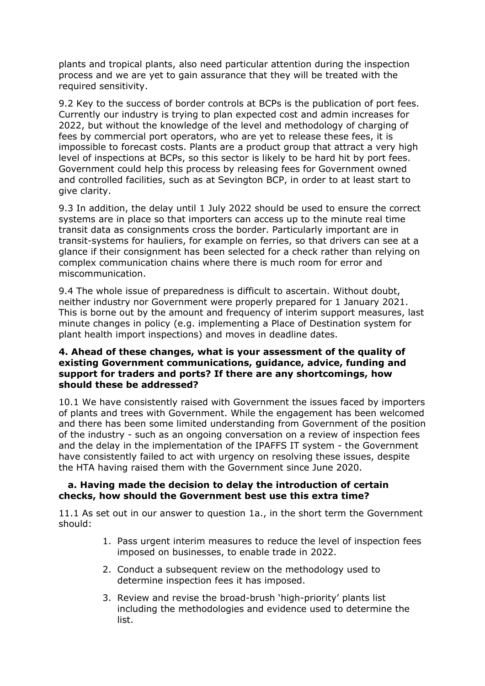plants and tropical plants, also need particular attention during the inspection process and we are yet to gain assurance that they will be treated with the required sensitivity.

9.2 Key to the success of border controls at BCPs is the publication of port fees. Currently our industry is trying to plan expected cost and admin increases for 2022, but without the knowledge of the level and methodology of charging of fees by commercial port operators, who are yet to release these fees, it is impossible to forecast costs. Plants are a product group that attract a very high level of inspections at BCPs, so this sector is likely to be hard hit by port fees. Government could help this process by releasing fees for Government owned and controlled facilities, such as at Sevington BCP, in order to at least start to give clarity.

9.3 In addition, the delay until 1 July 2022 should be used to ensure the correct systems are in place so that importers can access up to the minute real time transit data as consignments cross the border. Particularly important are in transit-systems for hauliers, for example on ferries, so that drivers can see at a glance if their consignment has been selected for a check rather than relying on complex communication chains where there is much room for error and miscommunication.

9.4 The whole issue of preparedness is difficult to ascertain. Without doubt, neither industry nor Government were properly prepared for 1 January 2021. This is borne out by the amount and frequency of interim support measures, last minute changes in policy (e.g. implementing a Place of Destination system for plant health import inspections) and moves in deadline dates.

### **4. Ahead of these changes, what is your assessment of the quality of existing Government communications, guidance, advice, funding and support for traders and ports? If there are any shortcomings, how should these be addressed?**

10.1 We have consistently raised with Government the issues faced by importers of plants and trees with Government. While the engagement has been welcomed and there has been some limited understanding from Government of the position of the industry - such as an ongoing conversation on a review of inspection fees and the delay in the implementation of the IPAFFS IT system - the Government have consistently failed to act with urgency on resolving these issues, despite the HTA having raised them with the Government since June 2020.

### **a. Having made the decision to delay the introduction of certain checks, how should the Government best use this extra time?**

11.1 As set out in our answer to question 1a., in the short term the Government should:

- 1. Pass urgent interim measures to reduce the level of inspection fees imposed on businesses, to enable trade in 2022.
- 2. Conduct a subsequent review on the methodology used to determine inspection fees it has imposed.
- 3. Review and revise the broad-brush 'high-priority' plants list including the methodologies and evidence used to determine the list.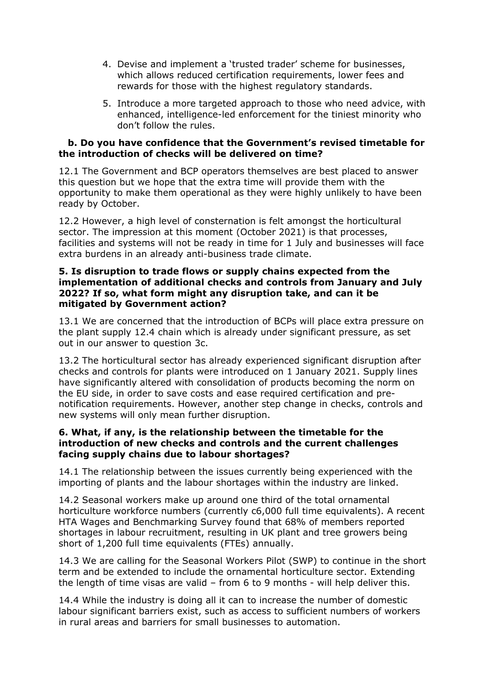- 4. Devise and implement a 'trusted trader' scheme for businesses, which allows reduced certification requirements, lower fees and rewards for those with the highest regulatory standards.
- 5. Introduce a more targeted approach to those who need advice, with enhanced, intelligence-led enforcement for the tiniest minority who don't follow the rules.

### **b. Do you have confidence that the Government's revised timetable for the introduction of checks will be delivered on time?**

12.1 The Government and BCP operators themselves are best placed to answer this question but we hope that the extra time will provide them with the opportunity to make them operational as they were highly unlikely to have been ready by October.

12.2 However, a high level of consternation is felt amongst the horticultural sector. The impression at this moment (October 2021) is that processes, facilities and systems will not be ready in time for 1 July and businesses will face extra burdens in an already anti-business trade climate.

### **5. Is disruption to trade flows or supply chains expected from the implementation of additional checks and controls from January and July 2022? If so, what form might any disruption take, and can it be mitigated by Government action?**

13.1 We are concerned that the introduction of BCPs will place extra pressure on the plant supply 12.4 chain which is already under significant pressure, as set out in our answer to question 3c.

13.2 The horticultural sector has already experienced significant disruption after checks and controls for plants were introduced on 1 January 2021. Supply lines have significantly altered with consolidation of products becoming the norm on the EU side, in order to save costs and ease required certification and prenotification requirements. However, another step change in checks, controls and new systems will only mean further disruption.

### **6. What, if any, is the relationship between the timetable for the introduction of new checks and controls and the current challenges facing supply chains due to labour shortages?**

14.1 The relationship between the issues currently being experienced with the importing of plants and the labour shortages within the industry are linked.

14.2 Seasonal workers make up around one third of the total ornamental horticulture workforce numbers (currently c6,000 full time equivalents). A recent HTA Wages and Benchmarking Survey found that 68% of members reported shortages in labour recruitment, resulting in UK plant and tree growers being short of 1,200 full time equivalents (FTEs) annually.

14.3 We are calling for the Seasonal Workers Pilot (SWP) to continue in the short term and be extended to include the ornamental horticulture sector. Extending the length of time visas are valid – from 6 to 9 months - will help deliver this.

14.4 While the industry is doing all it can to increase the number of domestic labour significant barriers exist, such as access to sufficient numbers of workers in rural areas and barriers for small businesses to automation.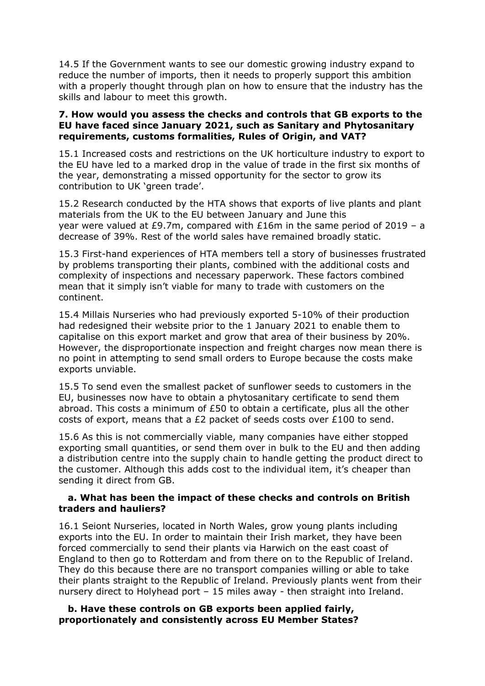14.5 If the Government wants to see our domestic growing industry expand to reduce the number of imports, then it needs to properly support this ambition with a properly thought through plan on how to ensure that the industry has the skills and labour to meet this growth.

#### **7. How would you assess the checks and controls that GB exports to the EU have faced since January 2021, such as Sanitary and Phytosanitary requirements, customs formalities, Rules of Origin, and VAT?**

15.1 Increased costs and restrictions on the UK horticulture industry to export to the EU have led to a marked drop in the value of trade in the first six months of the year, demonstrating a missed opportunity for the sector to grow its contribution to UK 'green trade'.

15.2 Research conducted by the HTA shows that exports of live plants and plant materials from the UK to the EU between January and June this year were valued at £9.7m, compared with £16m in the same period of 2019 – a decrease of 39%. Rest of the world sales have remained broadly static.

15.3 First-hand experiences of HTA members tell a story of businesses frustrated by problems transporting their plants, combined with the additional costs and complexity of inspections and necessary paperwork. These factors combined mean that it simply isn't viable for many to trade with customers on the continent.

15.4 Millais Nurseries who had previously exported 5-10% of their production had redesigned their website prior to the 1 January 2021 to enable them to capitalise on this export market and grow that area of their business by 20%. However, the disproportionate inspection and freight charges now mean there is no point in attempting to send small orders to Europe because the costs make exports unviable.

15.5 To send even the smallest packet of sunflower seeds to customers in the EU, businesses now have to obtain a phytosanitary certificate to send them abroad. This costs a minimum of £50 to obtain a certificate, plus all the other costs of export, means that a £2 packet of seeds costs over £100 to send.

15.6 As this is not commercially viable, many companies have either stopped exporting small quantities, or send them over in bulk to the EU and then adding a distribution centre into the supply chain to handle getting the product direct to the customer. Although this adds cost to the individual item, it's cheaper than sending it direct from GB.

#### **a. What has been the impact of these checks and controls on British traders and hauliers?**

16.1 Seiont Nurseries, located in North Wales, grow young plants including exports into the EU. In order to maintain their Irish market, they have been forced commercially to send their plants via Harwich on the east coast of England to then go to Rotterdam and from there on to the Republic of Ireland. They do this because there are no transport companies willing or able to take their plants straight to the Republic of Ireland. Previously plants went from their nursery direct to Holyhead port – 15 miles away - then straight into Ireland.

**b. Have these controls on GB exports been applied fairly, proportionately and consistently across EU Member States?**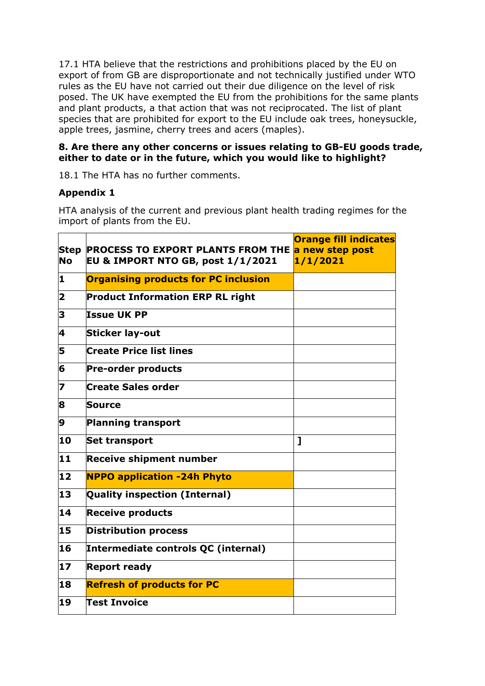17.1 HTA believe that the restrictions and prohibitions placed by the EU on export of from GB are disproportionate and not technically justified under WTO rules as the EU have not carried out their due diligence on the level of risk posed. The UK have exempted the EU from the prohibitions for the same plants and plant products, a that action that was not reciprocated. The list of plant species that are prohibited for export to the EU include oak trees, honeysuckle, apple trees, jasmine, cherry trees and acers (maples).

## **8. Are there any other concerns or issues relating to GB-EU goods trade, either to date or in the future, which you would like to highlight?**

18.1 The HTA has no further comments.

# **Appendix 1**

HTA analysis of the current and previous plant health trading regimes for the import of plants from the EU.

| <b>Step</b><br>No | <b>PROCESS TO EXPORT PLANTS FROM THE a new step post</b><br><b>EU &amp; IMPORT NTO GB, post 1/1/2021</b> | <b>Orange fill indicates</b><br>1/1/2021 |
|-------------------|----------------------------------------------------------------------------------------------------------|------------------------------------------|
| 1                 | <b>Organising products for PC inclusion</b>                                                              |                                          |
| 2                 | <b>Product Information ERP RL right</b>                                                                  |                                          |
| 3                 | <b>Issue UK PP</b>                                                                                       |                                          |
| 4                 | <b>Sticker lay-out</b>                                                                                   |                                          |
| 5                 | <b>Create Price list lines</b>                                                                           |                                          |
| 6                 | <b>Pre-order products</b>                                                                                |                                          |
| 7                 | Create Sales order                                                                                       |                                          |
| 8                 | Source                                                                                                   |                                          |
| 9                 | <b>Planning transport</b>                                                                                |                                          |
| 10                | <b>Set transport</b>                                                                                     | $\mathbf{I}$                             |
| 11                | <b>Receive shipment number</b>                                                                           |                                          |
| $ 12\rangle$      | <b>NPPO application -24h Phyto</b>                                                                       |                                          |
| 13                | <b>Quality inspection (Internal)</b>                                                                     |                                          |
| 14                | <b>Receive products</b>                                                                                  |                                          |
| 15                | <b>Distribution process</b>                                                                              |                                          |
| 16                | Intermediate controls QC (internal)                                                                      |                                          |
| $\bf{17}$         | <b>Report ready</b>                                                                                      |                                          |
| 18                | <b>Refresh of products for PC</b>                                                                        |                                          |
| 19                | <b>Test Invoice</b>                                                                                      |                                          |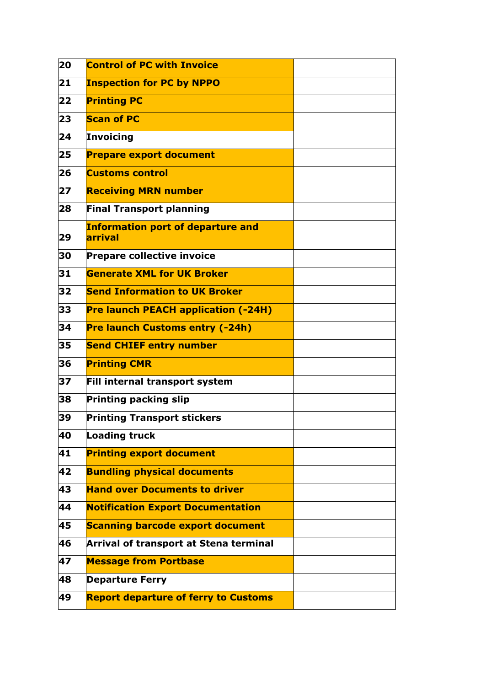| 20 | <b>Control of PC with Invoice</b>                   |  |
|----|-----------------------------------------------------|--|
| 21 | <b>Inspection for PC by NPPO</b>                    |  |
| 22 | <b>Printing PC</b>                                  |  |
| 23 | <b>Scan of PC</b>                                   |  |
| 24 | Invoicing                                           |  |
| 25 | <b>Prepare export document</b>                      |  |
| 26 | <b>Customs control</b>                              |  |
| 27 | <b>Receiving MRN number</b>                         |  |
| 28 | <b>Final Transport planning</b>                     |  |
| 29 | <b>Information port of departure and</b><br>arrival |  |
| 30 | <b>Prepare collective invoice</b>                   |  |
| 31 | <b>Generate XML for UK Broker</b>                   |  |
| 32 | <b>Send Information to UK Broker</b>                |  |
| 33 | <b>Pre launch PEACH application (-24H)</b>          |  |
| 34 | <b>Pre launch Customs entry (-24h)</b>              |  |
| 35 | <b>Send CHIEF entry number</b>                      |  |
| 36 | <b>Printing CMR</b>                                 |  |
| 37 | Fill internal transport system                      |  |
| 38 | <b>Printing packing slip</b>                        |  |
| 39 | <b>Printing Transport stickers</b>                  |  |
| 40 | <b>Loading truck</b>                                |  |
| 41 | <b>Printing export document</b>                     |  |
| 42 | <b>Bundling physical documents</b>                  |  |
| 43 | <b>Hand over Documents to driver</b>                |  |
| 44 | <b>Notification Export Documentation</b>            |  |
| 45 | <b>Scanning barcode export document</b>             |  |
| 46 | Arrival of transport at Stena terminal              |  |
| 47 | <b>Message from Portbase</b>                        |  |
| 48 | <b>Departure Ferry</b>                              |  |
| 49 | <b>Report departure of ferry to Customs</b>         |  |